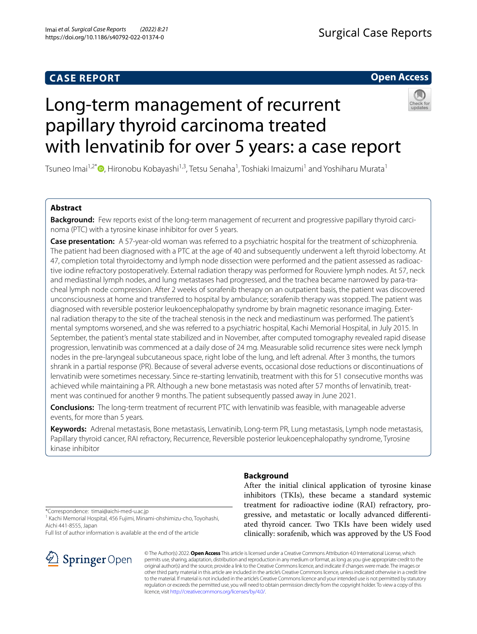## **CASE REPORT**

## **Open Access**

# Long-term management of recurrent papillary thyroid carcinoma treated with lenvatinib for over 5 years: a case report



Tsuneo Imai<sup>1[,](http://orcid.org/0000-0001-5988-147X)2\*</sup>®, Hironobu Kobayashi<sup>1,3</sup>, Tetsu Senaha<sup>1</sup>, Toshiaki Imaizumi<sup>1</sup> and Yoshiharu Murata<sup>1</sup>

### **Abstract**

**Background:** Few reports exist of the long-term management of recurrent and progressive papillary thyroid carcinoma (PTC) with a tyrosine kinase inhibitor for over 5 years.

**Case presentation:** A 57-year-old woman was referred to a psychiatric hospital for the treatment of schizophrenia. The patient had been diagnosed with a PTC at the age of 40 and subsequently underwent a left thyroid lobectomy. At 47, completion total thyroidectomy and lymph node dissection were performed and the patient assessed as radioactive iodine refractory postoperatively. External radiation therapy was performed for Rouviere lymph nodes. At 57, neck and mediastinal lymph nodes, and lung metastases had progressed, and the trachea became narrowed by para-tracheal lymph node compression. After 2 weeks of sorafenib therapy on an outpatient basis, the patient was discovered unconsciousness at home and transferred to hospital by ambulance; sorafenib therapy was stopped. The patient was diagnosed with reversible posterior leukoencephalopathy syndrome by brain magnetic resonance imaging. External radiation therapy to the site of the tracheal stenosis in the neck and mediastinum was performed. The patient's mental symptoms worsened, and she was referred to a psychiatric hospital, Kachi Memorial Hospital, in July 2015. In September, the patient's mental state stabilized and in November, after computed tomography revealed rapid disease progression, lenvatinib was commenced at a daily dose of 24 mg. Measurable solid recurrence sites were neck lymph nodes in the pre-laryngeal subcutaneous space, right lobe of the lung, and left adrenal. After 3 months, the tumors shrank in a partial response (PR). Because of several adverse events, occasional dose reductions or discontinuations of lenvatinib were sometimes necessary. Since re-starting lenvatinib, treatment with this for 51 consecutive months was achieved while maintaining a PR. Although a new bone metastasis was noted after 57 months of lenvatinib, treatment was continued for another 9 months. The patient subsequently passed away in June 2021.

**Conclusions:** The long-term treatment of recurrent PTC with lenvatinib was feasible, with manageable adverse events, for more than 5 years.

**Keywords:** Adrenal metastasis, Bone metastasis, Lenvatinib, Long-term PR, Lung metastasis, Lymph node metastasis, Papillary thyroid cancer, RAI refractory, Recurrence, Reversible posterior leukoencephalopathy syndrome, Tyrosine kinase inhibitor

**Background**

\*Correspondence: timai@aichi-med-u.ac.jp

<sup>1</sup> Kachi Memorial Hospital, 456 Fujimi, Minami-ohshimizu-cho, Toyohashi, Aichi 441-8555, Japan

Full list of author information is available at the end of the article



After the initial clinical application of tyrosine kinase inhibitors (TKIs), these became a standard systemic treatment for radioactive iodine (RAI) refractory, progressive, and metastatic or locally advanced diferentiated thyroid cancer. Two TKIs have been widely used clinically: sorafenib, which was approved by the US Food

© The Author(s) 2022. **Open Access** This article is licensed under a Creative Commons Attribution 4.0 International License, which permits use, sharing, adaptation, distribution and reproduction in any medium or format, as long as you give appropriate credit to the original author(s) and the source, provide a link to the Creative Commons licence, and indicate if changes were made. The images or other third party material in this article are included in the article's Creative Commons licence, unless indicated otherwise in a credit line to the material. If material is not included in the article's Creative Commons licence and your intended use is not permitted by statutory regulation or exceeds the permitted use, you will need to obtain permission directly from the copyright holder. To view a copy of this licence, visit [http://creativecommons.org/licenses/by/4.0/.](http://creativecommons.org/licenses/by/4.0/)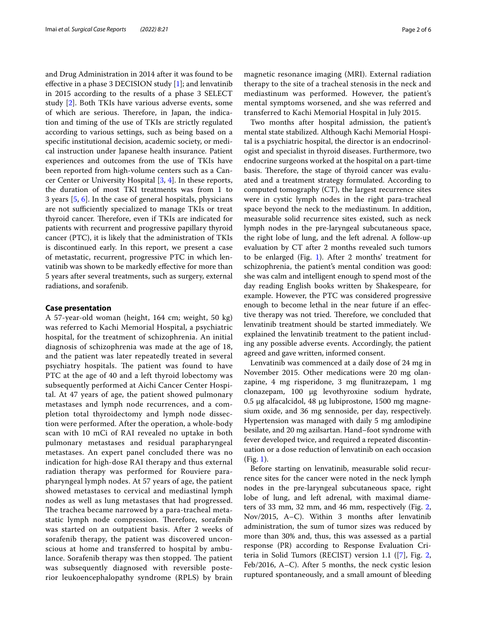and Drug Administration in 2014 after it was found to be efective in a phase 3 DECISION study [[1\]](#page-5-0); and lenvatinib in 2015 according to the results of a phase 3 SELECT study [\[2](#page-5-1)]. Both TKIs have various adverse events, some of which are serious. Therefore, in Japan, the indication and timing of the use of TKIs are strictly regulated according to various settings, such as being based on a specifc institutional decision, academic society, or medical instruction under Japanese health insurance. Patient experiences and outcomes from the use of TKIs have been reported from high-volume centers such as a Cancer Center or University Hospital [[3,](#page-5-2) [4\]](#page-5-3). In these reports, the duration of most TKI treatments was from 1 to 3 years [[5,](#page-5-4) [6\]](#page-5-5). In the case of general hospitals, physicians are not sufficiently specialized to manage TKIs or treat thyroid cancer. Therefore, even if TKIs are indicated for patients with recurrent and progressive papillary thyroid cancer (PTC), it is likely that the administration of TKIs is discontinued early. In this report, we present a case of metastatic, recurrent, progressive PTC in which lenvatinib was shown to be markedly efective for more than 5 years after several treatments, such as surgery, external radiations, and sorafenib.

#### **Case presentation**

A 57-year-old woman (height, 164 cm; weight, 50 kg) was referred to Kachi Memorial Hospital, a psychiatric hospital, for the treatment of schizophrenia. An initial diagnosis of schizophrenia was made at the age of 18, and the patient was later repeatedly treated in several psychiatry hospitals. The patient was found to have PTC at the age of 40 and a left thyroid lobectomy was subsequently performed at Aichi Cancer Center Hospital. At 47 years of age, the patient showed pulmonary metastases and lymph node recurrences, and a completion total thyroidectomy and lymph node dissection were performed. After the operation, a whole-body scan with 10 mCi of RAI revealed no uptake in both pulmonary metastases and residual parapharyngeal metastases. An expert panel concluded there was no indication for high-dose RAI therapy and thus external radiation therapy was performed for Rouviere parapharyngeal lymph nodes. At 57 years of age, the patient showed metastases to cervical and mediastinal lymph nodes as well as lung metastases that had progressed. The trachea became narrowed by a para-tracheal metastatic lymph node compression. Therefore, sorafenib was started on an outpatient basis. After 2 weeks of sorafenib therapy, the patient was discovered unconscious at home and transferred to hospital by ambulance. Sorafenib therapy was then stopped. The patient was subsequently diagnosed with reversible posterior leukoencephalopathy syndrome (RPLS) by brain magnetic resonance imaging (MRI). External radiation therapy to the site of a tracheal stenosis in the neck and mediastinum was performed. However, the patient's mental symptoms worsened, and she was referred and transferred to Kachi Memorial Hospital in July 2015.

Two months after hospital admission, the patient's mental state stabilized. Although Kachi Memorial Hospital is a psychiatric hospital, the director is an endocrinologist and specialist in thyroid diseases. Furthermore, two endocrine surgeons worked at the hospital on a part-time basis. Therefore, the stage of thyroid cancer was evaluated and a treatment strategy formulated. According to computed tomography (CT), the largest recurrence sites were in cystic lymph nodes in the right para-tracheal space beyond the neck to the mediastinum. In addition, measurable solid recurrence sites existed, such as neck lymph nodes in the pre-laryngeal subcutaneous space, the right lobe of lung, and the left adrenal. A follow-up evaluation by CT after 2 months revealed such tumors to be enlarged (Fig. [1\)](#page-2-0). After 2 months' treatment for schizophrenia, the patient's mental condition was good: she was calm and intelligent enough to spend most of the day reading English books written by Shakespeare, for example. However, the PTC was considered progressive enough to become lethal in the near future if an efective therapy was not tried. Therefore, we concluded that lenvatinib treatment should be started immediately. We explained the lenvatinib treatment to the patient including any possible adverse events. Accordingly, the patient agreed and gave written, informed consent.

Lenvatinib was commenced at a daily dose of 24 mg in November 2015. Other medications were 20 mg olanzapine, 4 mg risperidone, 3 mg funitrazepam, 1 mg clonazepam, 100 μg levothyroxine sodium hydrate, 0.5 μg alfacalcidol, 48 μg lubiprostone, 1500 mg magnesium oxide, and 36 mg sennoside, per day, respectively. Hypertension was managed with daily 5 mg amlodipine besilate, and 20 mg azilsartan. Hand–foot syndrome with fever developed twice, and required a repeated discontinuation or a dose reduction of lenvatinib on each occasion (Fig. [1\)](#page-2-0).

Before starting on lenvatinib, measurable solid recurrence sites for the cancer were noted in the neck lymph nodes in the pre-laryngeal subcutaneous space, right lobe of lung, and left adrenal, with maximal diameters of 33 mm, 32 mm, and 46 mm, respectively (Fig. [2](#page-3-0), Nov/2015, A–C). Within 3 months after lenvatinib administration, the sum of tumor sizes was reduced by more than 30% and, thus, this was assessed as a partial response (PR) according to Response Evaluation Criteria in Solid Tumors (RECIST) version 1.1 ([[7\]](#page-5-6), Fig. [2](#page-3-0), Feb/2016, A–C). After 5 months, the neck cystic lesion ruptured spontaneously, and a small amount of bleeding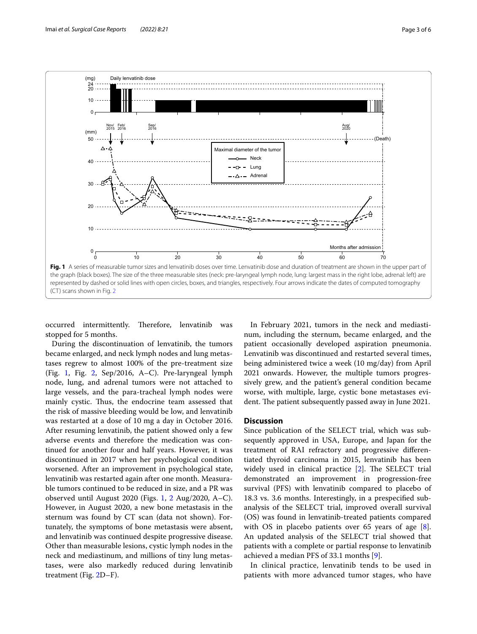

<span id="page-2-0"></span>occurred intermittently. Therefore, lenvatinib was stopped for 5 months.

During the discontinuation of lenvatinib, the tumors became enlarged, and neck lymph nodes and lung metastases regrew to almost 100% of the pre-treatment size (Fig. [1](#page-2-0), Fig. [2,](#page-3-0) Sep/2016, A–C). Pre-laryngeal lymph node, lung, and adrenal tumors were not attached to large vessels, and the para-tracheal lymph nodes were mainly cystic. Thus, the endocrine team assessed that the risk of massive bleeding would be low, and lenvatinib was restarted at a dose of 10 mg a day in October 2016. After resuming lenvatinib, the patient showed only a few adverse events and therefore the medication was continued for another four and half years. However, it was discontinued in 2017 when her psychological condition worsened. After an improvement in psychological state, lenvatinib was restarted again after one month. Measurable tumors continued to be reduced in size, and a PR was observed until August 2020 (Figs. [1,](#page-2-0) [2](#page-3-0) Aug/2020, A–C). However, in August 2020, a new bone metastasis in the sternum was found by CT scan (data not shown). Fortunately, the symptoms of bone metastasis were absent, and lenvatinib was continued despite progressive disease. Other than measurable lesions, cystic lymph nodes in the neck and mediastinum, and millions of tiny lung metastases, were also markedly reduced during lenvatinib treatment (Fig. [2D](#page-3-0)–F).

In February 2021, tumors in the neck and mediastinum, including the sternum, became enlarged, and the patient occasionally developed aspiration pneumonia. Lenvatinib was discontinued and restarted several times, being administered twice a week (10 mg/day) from April 2021 onwards. However, the multiple tumors progressively grew, and the patient's general condition became worse, with multiple, large, cystic bone metastases evident. The patient subsequently passed away in June 2021.

#### **Discussion**

Since publication of the SELECT trial, which was subsequently approved in USA, Europe, and Japan for the treatment of RAI refractory and progressive diferentiated thyroid carcinoma in 2015, lenvatinib has been widely used in clinical practice  $[2]$  $[2]$ . The SELECT trial demonstrated an improvement in progression-free survival (PFS) with lenvatinib compared to placebo of 18.3 vs. 3.6 months. Interestingly, in a prespecifed subanalysis of the SELECT trial, improved overall survival (OS) was found in lenvatinib-treated patients compared with OS in placebo patients over 65 years of age [\[8](#page-5-7)]. An updated analysis of the SELECT trial showed that patients with a complete or partial response to lenvatinib achieved a median PFS of 33.1 months [\[9](#page-5-8)].

In clinical practice, lenvatinib tends to be used in patients with more advanced tumor stages, who have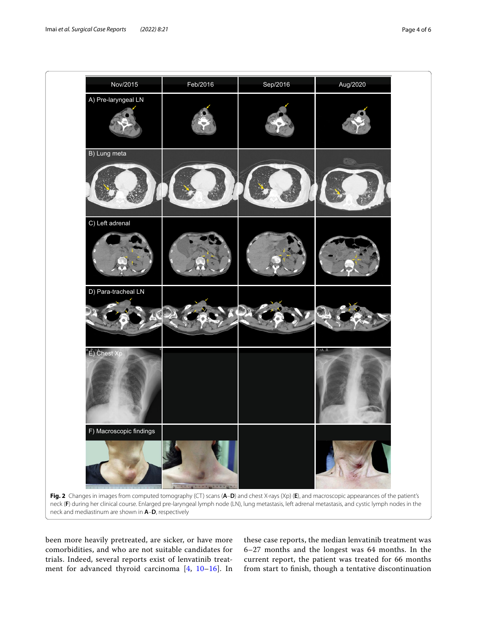

<span id="page-3-0"></span>been more heavily pretreated, are sicker, or have more comorbidities, and who are not suitable candidates for trials. Indeed, several reports exist of lenvatinib treatment for advanced thyroid carcinoma [[4,](#page-5-3) [10–](#page-5-9)[16](#page-5-10)]. In these case reports, the median lenvatinib treatment was 6–27 months and the longest was 64 months. In the current report, the patient was treated for 66 months from start to fnish, though a tentative discontinuation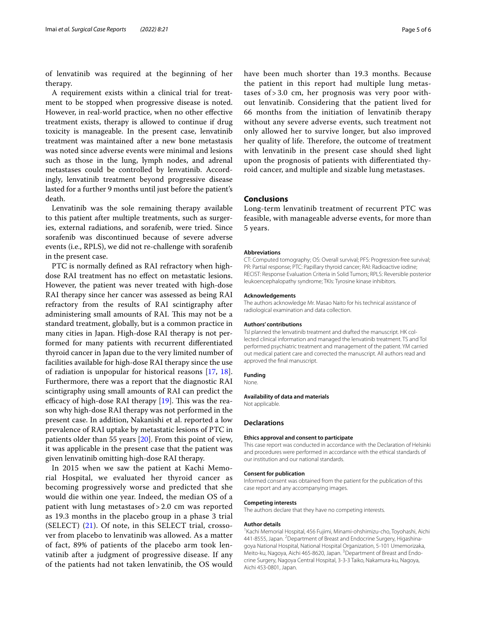of lenvatinib was required at the beginning of her therapy.

A requirement exists within a clinical trial for treatment to be stopped when progressive disease is noted. However, in real-world practice, when no other efective treatment exists, therapy is allowed to continue if drug toxicity is manageable. In the present case, lenvatinib treatment was maintained after a new bone metastasis was noted since adverse events were minimal and lesions such as those in the lung, lymph nodes, and adrenal metastases could be controlled by lenvatinib. Accordingly, lenvatinib treatment beyond progressive disease lasted for a further 9 months until just before the patient's death.

Lenvatinib was the sole remaining therapy available to this patient after multiple treatments, such as surgeries, external radiations, and sorafenib, were tried. Since sorafenib was discontinued because of severe adverse events (i.e., RPLS), we did not re-challenge with sorafenib in the present case.

PTC is normally defned as RAI refractory when highdose RAI treatment has no efect on metastatic lesions. However, the patient was never treated with high-dose RAI therapy since her cancer was assessed as being RAI refractory from the results of RAI scintigraphy after administering small amounts of RAI. This may not be a standard treatment, globally, but is a common practice in many cities in Japan. High-dose RAI therapy is not performed for many patients with recurrent diferentiated thyroid cancer in Japan due to the very limited number of facilities available for high-dose RAI therapy since the use of radiation is unpopular for historical reasons [[17,](#page-5-11) [18](#page-5-12)]. Furthermore, there was a report that the diagnostic RAI scintigraphy using small amounts of RAI can predict the efficacy of high-dose RAI therapy  $[19]$  $[19]$ . This was the reason why high-dose RAI therapy was not performed in the present case. In addition, Nakanishi et al. reported a low prevalence of RAI uptake by metastatic lesions of PTC in patients older than 55 years [\[20](#page-5-14)]. From this point of view, it was applicable in the present case that the patient was given lenvatinib omitting high-dose RAI therapy.

In 2015 when we saw the patient at Kachi Memorial Hospital, we evaluated her thyroid cancer as becoming progressively worse and predicted that she would die within one year. Indeed, the median OS of a patient with lung metastases of > 2.0 cm was reported as 19.3 months in the placebo group in a phase 3 trial (SELECT)  $(21)$  $(21)$ . Of note, in this SELECT trial, crossover from placebo to lenvatinib was allowed. As a matter of fact, 89% of patients of the placebo arm took lenvatinib after a judgment of progressive disease. If any of the patients had not taken lenvatinib, the OS would have been much shorter than 19.3 months. Because the patient in this report had multiple lung metastases of > 3.0 cm, her prognosis was very poor without lenvatinib. Considering that the patient lived for 66 months from the initiation of lenvatinib therapy without any severe adverse events, such treatment not only allowed her to survive longer, but also improved her quality of life. Therefore, the outcome of treatment with lenvatinib in the present case should shed light upon the prognosis of patients with diferentiated thyroid cancer, and multiple and sizable lung metastases.

#### **Conclusions**

Long-term lenvatinib treatment of recurrent PTC was feasible, with manageable adverse events, for more than 5 years.

#### **Abbreviations**

CT: Computed tomography; OS: Overall survival; PFS: Progression-free survival; PR: Partial response; PTC: Papillary thyroid cancer; RAI: Radioactive iodine; RECIST: Response Evaluation Criteria in Solid Tumors; RPLS: Reversible posterior leukoencephalopathy syndrome; TKIs: Tyrosine kinase inhibitors.

#### **Acknowledgements**

The authors acknowledge Mr. Masao Naito for his technical assistance of radiological examination and data collection.

#### **Authors' contributions**

TsI planned the lenvatinib treatment and drafted the manuscript. HK collected clinical information and managed the lenvatinib treatment. TS and ToI performed psychiatric treatment and management of the patient. YM carried out medical patient care and corrected the manuscript. All authors read and approved the fnal manuscript.

#### **Funding**

None.

#### **Availability of data and materials**

Not applicable.

#### **Declarations**

#### **Ethics approval and consent to participate**

This case report was conducted in accordance with the Declaration of Helsinki and procedures were performed in accordance with the ethical standards of our institution and our national standards.

#### **Consent for publication**

Informed consent was obtained from the patient for the publication of this case report and any accompanying images.

#### **Competing interests**

The authors declare that they have no competing interests.

#### **Author details**

<sup>1</sup> Kachi Memorial Hospital, 456 Fujimi, Minami-ohshimizu-cho, Toyohashi, Aichi 441-8555, Japan. <sup>2</sup> Department of Breast and Endocrine Surgery, Higashinagoya National Hospital, National Hospital Organization, 5-101 Umemorizaka, Meito-ku, Nagoya, Aichi 465-8620, Japan. <sup>3</sup> Department of Breast and Endocrine Surgery, Nagoya Central Hospital, 3-3-3 Taiko, Nakamura-ku, Nagoya, Aichi 453-0801, Japan.